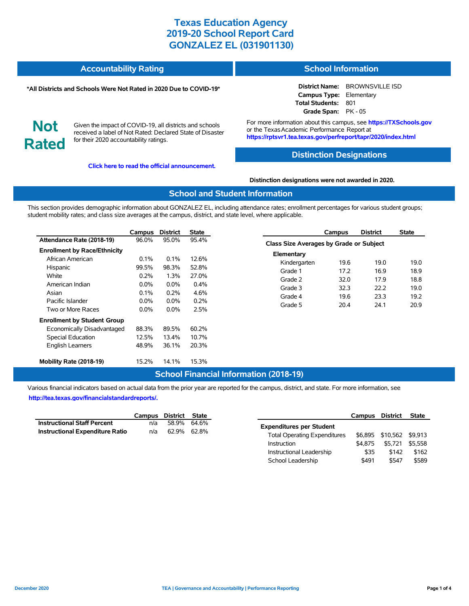| <b>Accountability Rating</b> | <b>School Information</b> |
|------------------------------|---------------------------|
|                              |                           |

#### **\*All Districts and Schools Were Not Rated in 2020 Due to COVID-19\***

**District Name:** BROWNSVILLE ISD **Campus Type:** Elementary **Total Students:** 801 **Grade Span:** PK - 05

**Not Rated**

Given the impact of COVID-19, all districts and schools received a label of Not Rated: Declared State of Disaster for their 2020 accountability ratings.

**[Click here to read the official announcement.](https://tea.texas.gov/about-tea/news-and-multimedia/correspondence/taa-letters/every-student-succeeds-act-essa-waiver-approval-2020-state-academic-accountability)**

For more information about this campus, see **https://TXSchools.gov** or the Texas Academic Performance Report at **https://rptsvr1.tea.texas.gov/perfreport/tapr/2020/index.html**

### **Distinction Designations**

**Distinction designations were not awarded in 2020.**

#### **School and Student Information**

This section provides demographic information about GONZALEZ EL, including attendance rates; enrollment percentages for various student groups; student mobility rates; and class size averages at the campus, district, and state level, where applicable.

|                                     | Campus  | <b>District</b> | <b>State</b> |
|-------------------------------------|---------|-----------------|--------------|
| Attendance Rate (2018-19)           | 96.0%   | 95.0%           | 95.4%        |
| <b>Enrollment by Race/Ethnicity</b> |         |                 |              |
| African American                    | 0.1%    | 0.1%            | 12.6%        |
| Hispanic                            | 99.5%   | 98.3%           | 52.8%        |
| White                               | 0.2%    | 1.3%            | 27.0%        |
| American Indian                     | $0.0\%$ | $0.0\%$         | $0.4\%$      |
| Asian                               | 0.1%    | $0.2\%$         | 4.6%         |
| Pacific Islander                    | $0.0\%$ | $0.0\%$         | $0.2\%$      |
| Two or More Races                   | $0.0\%$ | $0.0\%$         | 2.5%         |
| <b>Enrollment by Student Group</b>  |         |                 |              |
| Economically Disadvantaged          | 88.3%   | 89.5%           | 60.2%        |
| <b>Special Education</b>            | 12.5%   | 13.4%           | 10.7%        |
| <b>English Learners</b>             | 48.9%   | 36.1%           | 20.3%        |
| Mobility Rate (2018-19)             | 15.2%   | 14.1%           | 15.3%        |

|                                                | Campus | <b>District</b> | State |
|------------------------------------------------|--------|-----------------|-------|
| <b>Class Size Averages by Grade or Subject</b> |        |                 |       |
| Elementary                                     |        |                 |       |
| Kindergarten                                   | 19.6   | 19.0            | 19.0  |
| Grade 1                                        | 17.2   | 16.9            | 18.9  |
| Grade 2                                        | 32.0   | 17.9            | 18.8  |
| Grade 3                                        | 32.3   | 22.2            | 19.0  |
| Grade 4                                        | 19.6   | 23.3            | 19.2  |
| Grade 5                                        | 20.4   | 24.1            | 20.9  |
|                                                |        |                 |       |

## **School Financial Information (2018-19)**

Various financial indicators based on actual data from the prior year are reported for the campus, district, and state. For more information, see **[http://tea.texas.gov/financialstandardreports/.](http://tea.texas.gov/financialstandardreports/)**

|                                        | Campus District State |             |  |
|----------------------------------------|-----------------------|-------------|--|
| <b>Instructional Staff Percent</b>     | n/a                   | 58.9% 64.6% |  |
| <b>Instructional Expenditure Ratio</b> | n/a                   | 62.9% 62.8% |  |

|                                     | Campus  | District | <b>State</b> |
|-------------------------------------|---------|----------|--------------|
| <b>Expenditures per Student</b>     |         |          |              |
| <b>Total Operating Expenditures</b> | \$6.895 | \$10.562 | \$9.913      |
| Instruction                         | \$4.875 | \$5.721  | \$5.558      |
| Instructional Leadership            | \$35    | \$142    | \$162        |
| School Leadership                   | \$491   | \$547    | \$589        |

Ĭ.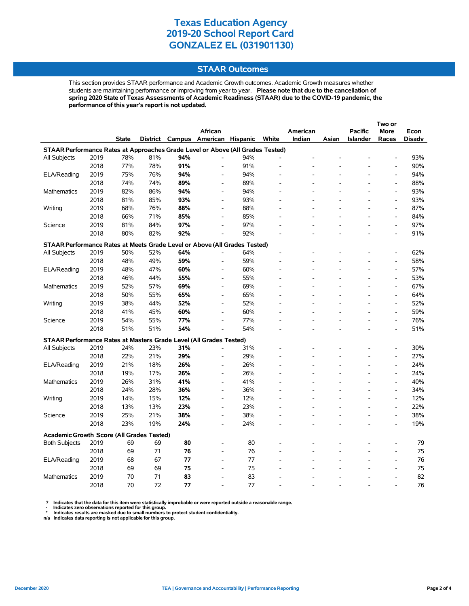#### **STAAR Outcomes**

This section provides STAAR performance and Academic Growth outcomes. Academic Growth measures whether students are maintaining performance or improving from year to year. **Please note that due to the cancellation of spring 2020 State of Texas Assessments of Academic Readiness (STAAR) due to the COVID-19 pandemic, the performance of this year's report is not updated.**

|                                                                                |      |              |     |     | <b>African</b>                    |     |       | American |       | <b>Pacific</b> | <b>More</b>                  | Econ          |
|--------------------------------------------------------------------------------|------|--------------|-----|-----|-----------------------------------|-----|-------|----------|-------|----------------|------------------------------|---------------|
|                                                                                |      | <b>State</b> |     |     | District Campus American Hispanic |     | White | Indian   | Asian | Islander       | Races                        | <b>Disadv</b> |
| STAAR Performance Rates at Approaches Grade Level or Above (All Grades Tested) |      |              |     |     |                                   |     |       |          |       |                |                              |               |
| All Subjects                                                                   | 2019 | 78%          | 81% | 94% | L,                                | 94% |       |          |       |                |                              | 93%           |
|                                                                                | 2018 | 77%          | 78% | 91% | $\frac{1}{2}$                     | 91% |       |          |       |                | $\qquad \qquad \blacksquare$ | 90%           |
| ELA/Reading                                                                    | 2019 | 75%          | 76% | 94% |                                   | 94% |       |          |       |                | $\overline{a}$               | 94%           |
|                                                                                | 2018 | 74%          | 74% | 89% | $\overline{a}$                    | 89% |       |          |       |                | $\overline{a}$               | 88%           |
| <b>Mathematics</b>                                                             | 2019 | 82%          | 86% | 94% | $\overline{\phantom{a}}$          | 94% |       |          |       |                | $\overline{a}$               | 93%           |
|                                                                                | 2018 | 81%          | 85% | 93% | $\overline{a}$                    | 93% |       |          |       |                | $\overline{a}$               | 93%           |
| Writing                                                                        | 2019 | 68%          | 76% | 88% | L,                                | 88% |       |          |       |                | $\overline{a}$               | 87%           |
|                                                                                | 2018 | 66%          | 71% | 85% | L,                                | 85% |       |          |       |                | $\overline{a}$               | 84%           |
| Science                                                                        | 2019 | 81%          | 84% | 97% | $\overline{a}$                    | 97% |       |          |       |                | $\qquad \qquad \blacksquare$ | 97%           |
|                                                                                | 2018 | 80%          | 82% | 92% | $\overline{a}$                    | 92% |       |          |       |                | $\overline{a}$               | 91%           |
| STAAR Performance Rates at Meets Grade Level or Above (All Grades Tested)      |      |              |     |     |                                   |     |       |          |       |                |                              |               |
| All Subjects                                                                   | 2019 | 50%          | 52% | 64% |                                   | 64% |       |          |       |                | $\overline{a}$               | 62%           |
|                                                                                | 2018 | 48%          | 49% | 59% | $\overline{a}$                    | 59% |       |          |       |                | $\overline{a}$               | 58%           |
| ELA/Reading                                                                    | 2019 | 48%          | 47% | 60% | $\qquad \qquad \blacksquare$      | 60% |       |          |       |                | $\qquad \qquad \blacksquare$ | 57%           |
|                                                                                | 2018 | 46%          | 44% | 55% | $\overline{a}$                    | 55% |       |          |       |                | $\overline{a}$               | 53%           |
| <b>Mathematics</b>                                                             | 2019 | 52%          | 57% | 69% | $\overline{a}$                    | 69% |       |          |       |                | $\qquad \qquad \blacksquare$ | 67%           |
|                                                                                | 2018 | 50%          | 55% | 65% | $\overline{\phantom{a}}$          | 65% |       |          |       |                | $\qquad \qquad \blacksquare$ | 64%           |
| Writing                                                                        | 2019 | 38%          | 44% | 52% | $\overline{\phantom{a}}$          | 52% |       |          |       |                | $\qquad \qquad \blacksquare$ | 52%           |
|                                                                                | 2018 | 41%          | 45% | 60% | $\overline{a}$                    | 60% |       |          |       |                | $\overline{a}$               | 59%           |
| Science                                                                        | 2019 | 54%          | 55% | 77% | L,                                | 77% |       |          |       |                | L,                           | 76%           |
|                                                                                | 2018 | 51%          | 51% | 54% | $\overline{a}$                    | 54% |       |          |       |                | $\overline{a}$               | 51%           |
| STAAR Performance Rates at Masters Grade Level (All Grades Tested)             |      |              |     |     |                                   |     |       |          |       |                |                              |               |
| All Subjects                                                                   | 2019 | 24%          | 23% | 31% |                                   | 31% |       |          |       |                | $\overline{\phantom{a}}$     | 30%           |
|                                                                                | 2018 | 22%          | 21% | 29% | $\overline{a}$                    | 29% |       |          |       |                | $\overline{\phantom{a}}$     | 27%           |
| ELA/Reading                                                                    | 2019 | 21%          | 18% | 26% | $\overline{a}$                    | 26% |       |          |       |                | $\overline{a}$               | 24%           |
|                                                                                | 2018 | 19%          | 17% | 26% | $\overline{\phantom{a}}$          | 26% |       |          |       |                | $\overline{\phantom{a}}$     | 24%           |
| Mathematics                                                                    | 2019 | 26%          | 31% | 41% | $\overline{\phantom{a}}$          | 41% |       |          |       |                | L,                           | 40%           |
|                                                                                | 2018 | 24%          | 28% | 36% | $\overline{a}$                    | 36% |       |          |       |                | $\overline{\phantom{a}}$     | 34%           |
| Writing                                                                        | 2019 | 14%          | 15% | 12% | $\overline{\phantom{a}}$          | 12% |       |          |       |                | $\overline{\phantom{a}}$     | 12%           |
|                                                                                | 2018 | 13%          | 13% | 23% | $\overline{\phantom{a}}$          | 23% |       |          |       |                | $\overline{\phantom{a}}$     | 22%           |
| Science                                                                        | 2019 | 25%          | 21% | 38% | $\overline{\phantom{a}}$          | 38% |       |          |       |                | $\overline{a}$               | 38%           |
|                                                                                | 2018 | 23%          | 19% | 24% | $\overline{a}$                    | 24% |       |          |       |                | $\overline{a}$               | 19%           |
|                                                                                |      |              |     |     |                                   |     |       |          |       |                |                              |               |
| <b>Academic Growth Score (All Grades Tested)</b>                               |      | 69           |     |     |                                   |     |       |          |       |                |                              |               |
| <b>Both Subjects</b>                                                           | 2019 |              | 69  | 80  |                                   | 80  |       |          |       |                | $\overline{a}$               | 79            |
|                                                                                | 2018 | 69           | 71  | 76  | $\overline{a}$                    | 76  |       |          |       |                | $\overline{a}$               | 75            |
| ELA/Reading                                                                    | 2019 | 68           | 67  | 77  |                                   | 77  |       |          |       |                | $\overline{a}$               | 76            |
|                                                                                | 2018 | 69           | 69  | 75  |                                   | 75  |       |          |       |                |                              | 75            |
| <b>Mathematics</b>                                                             | 2019 | 70           | 71  | 83  | $\overline{a}$                    | 83  |       |          |       |                | L,                           | 82            |
|                                                                                | 2018 | 70           | 72  | 77  |                                   | 77  |       |          |       |                |                              | 76            |

? Indicates that the data for this item were statistically improbable or were reported outside a reasonable range.<br>- Indicates zero observations reported for this group.<br>\* Indicates results are masked due to small numbers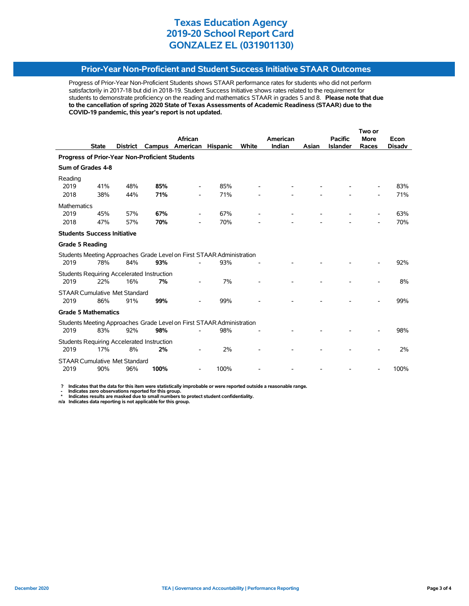### **Prior-Year Non-Proficient and Student Success Initiative STAAR Outcomes**

Progress of Prior-Year Non-Proficient Students shows STAAR performance rates for students who did not perform satisfactorily in 2017-18 but did in 2018-19. Student Success Initiative shows rates related to the requirement for students to demonstrate proficiency on the reading and mathematics STAAR in grades 5 and 8. **Please note that due to the cancellation of spring 2020 State of Texas Assessments of Academic Readiness (STAAR) due to the COVID-19 pandemic, this year's report is not updated.**

|                                                |              |                 |                                            |                                                                       |                 |       |          |       |                 | Two or      |               |
|------------------------------------------------|--------------|-----------------|--------------------------------------------|-----------------------------------------------------------------------|-----------------|-------|----------|-------|-----------------|-------------|---------------|
|                                                |              |                 |                                            | African                                                               |                 |       | American |       | <b>Pacific</b>  | <b>More</b> | Econ          |
|                                                | <b>State</b> | <b>District</b> | Campus                                     | American                                                              | <b>Hispanic</b> | White | Indian   | Asian | <b>Islander</b> | Races       | <b>Disadv</b> |
| Progress of Prior-Year Non-Proficient Students |              |                 |                                            |                                                                       |                 |       |          |       |                 |             |               |
| Sum of Grades 4-8                              |              |                 |                                            |                                                                       |                 |       |          |       |                 |             |               |
| Reading                                        |              |                 |                                            |                                                                       |                 |       |          |       |                 |             |               |
| 2019                                           | 41%          | 48%             | 85%                                        |                                                                       | 85%             |       |          |       |                 |             | 83%           |
| 2018                                           | 38%          | 44%             | 71%                                        |                                                                       | 71%             |       |          |       |                 |             | 71%           |
| <b>Mathematics</b>                             |              |                 |                                            |                                                                       |                 |       |          |       |                 |             |               |
| 2019                                           | 45%          | 57%             | 67%                                        |                                                                       | 67%             |       |          |       |                 |             | 63%           |
| 2018                                           | 47%          | 57%             | 70%                                        |                                                                       | 70%             |       |          |       |                 |             | 70%           |
| <b>Students Success Initiative</b>             |              |                 |                                            |                                                                       |                 |       |          |       |                 |             |               |
| <b>Grade 5 Reading</b>                         |              |                 |                                            |                                                                       |                 |       |          |       |                 |             |               |
|                                                |              |                 |                                            | Students Meeting Approaches Grade Level on First STAAR Administration |                 |       |          |       |                 |             |               |
| 2019                                           | 78%          | 84%             | 93%                                        |                                                                       | 93%             |       |          |       |                 |             | 92%           |
|                                                |              |                 | Students Requiring Accelerated Instruction |                                                                       |                 |       |          |       |                 |             |               |
| 2019                                           | 22%          | 16%             | 7%                                         |                                                                       | 7%              |       |          |       |                 |             | 8%            |
| <b>STAAR Cumulative Met Standard</b>           |              |                 |                                            |                                                                       |                 |       |          |       |                 |             |               |
| 2019                                           | 86%          | 91%             | 99%                                        |                                                                       | 99%             |       |          |       |                 |             | 99%           |
| <b>Grade 5 Mathematics</b>                     |              |                 |                                            |                                                                       |                 |       |          |       |                 |             |               |
|                                                |              |                 |                                            | Students Meeting Approaches Grade Level on First STAAR Administration |                 |       |          |       |                 |             |               |
| 2019                                           | 83%          | 92%             | 98%                                        |                                                                       | 98%             |       |          |       |                 |             | 98%           |
|                                                |              |                 | Students Requiring Accelerated Instruction |                                                                       |                 |       |          |       |                 |             |               |
| 2019                                           | 17%          | 8%              | 2%                                         |                                                                       | 2%              |       |          |       |                 |             | 2%            |
| <b>STAAR Cumulative Met Standard</b>           |              |                 |                                            |                                                                       |                 |       |          |       |                 |             |               |
| 2019                                           | 90%          | 96%             | 100%                                       |                                                                       | 100%            |       |          |       |                 |             | 100%          |

 **? Indicates that the data for this item were statistically improbable or were reported outside a reasonable range.**

 **- Indicates zero observations reported for this group. \* Indicates results are masked due to small numbers to protect student confidentiality.**

**n/a Indicates data reporting is not applicable for this group.**